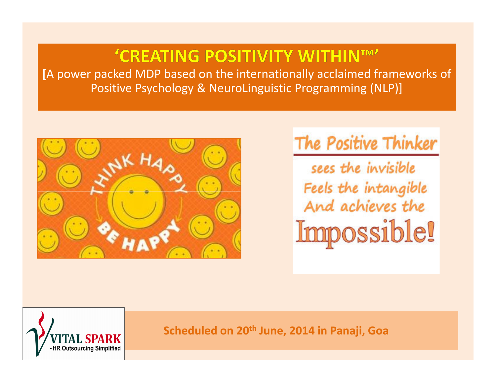# 'CREATING POSITIVITY WITHINTM'

**[**A power packed MDP based on the internationally acclaimed frameworks ofPositive Psychology & NeuroLinguistic Programming (NLP)]



# The Positive Thinker

sees the invisible Feels the intangible And achieves the Impossible!



**Scheduled on 20th June, 2014 in Panaji, Goa**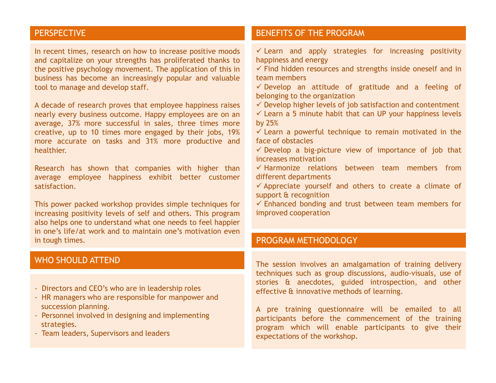# PERSPECTIVE

In recent times, research on how to increase positive moods and capitalize on your strengths has proliferated thanks to the positive psychology movement. The application of this in business has become an increasingly popular and valuabletool to manage and develop staff.

<sup>A</sup> decade of research proves that employee happiness raises nearly every business outcome. Happy employees are on an average, 37% more successful in sales, three times more creative, up to <sup>10</sup> times more engaged by their jobs, 19% more accurate on tasks and 31% more productive andhealthier.

Research has shown that companies with higher than average employee happiness exhibit better customer satisfaction.

This power packed workshop provides simple techniques for increasing positivity levels of self and others. This program also helps one to understand what one needs to feel happier in one's life/at work and to maintain one's motivation evenin tough times.

### WHO SHOULD ATTEND

- Directors and CEO's who are in leadership roles
- HR managers who are responsible for manpower andsuccession planning.
- Personnel involved in designing and implementingstrategies.
- Team leaders, Supervisors and leaders

# BENEFITS OF THE PROGRAM

- $\checkmark$  Learn and apply strategies for increasing positivity<br>benningss and anorgy happiness and energy
- $\checkmark$  Find hidden resources and strengths inside oneself and in<br>team mambers team members
- $\checkmark$  Develop an attitude of gratitude and a feeling of belonging to the organization
- $\checkmark$  Develop higher levels of job satisfaction and contentment
- ✓ Learn a 5 minute habit that can UP your happiness levels<br>bu 25% by 25%
- $\checkmark$  Learn a powerful technique to remain motivated in the<br>face of abstacles face of obstacles
- $\checkmark$  Develop a big-picture view of importance of job that  $\checkmark$ increases motivation
- $\checkmark$  Harmonize relations between team members from<br>different.denortments different departments
- ✓ Appreciate yourself and others to create a climate of support & recognition
- ✓ Enhanced bonding and trust between team members for<br>impreved connection improved cooperation

## PROGRAM METHODOLOGY

The session involves an amalgamation of training delivery techniques such as group discussions, audio-visuals, use of stories & anecdotes, guided introspection, and other effective & innovative methods of learning.

<sup>A</sup> pre training questionnaire will be emailed to all participants before the commencement of the training program which will enable participants to give their expectations of the workshop.